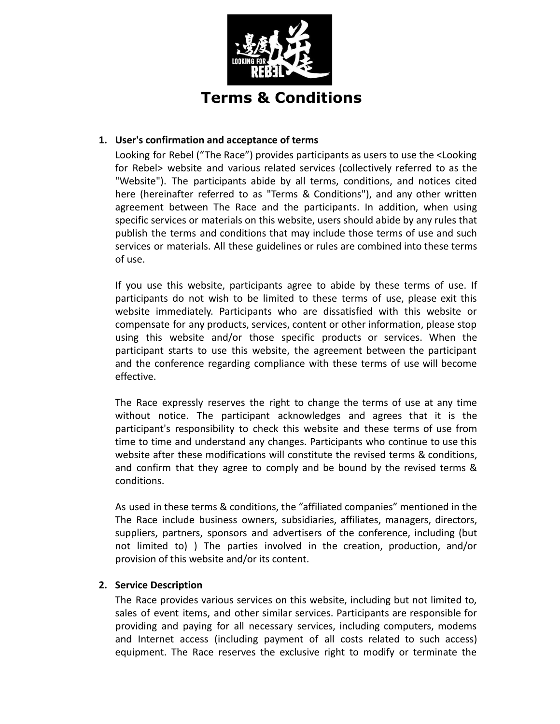

## **1. User's confirmation and acceptance of terms**

Looking for Rebel ("The Race") provides participants as users to use the <Looking for Rebel> website and various related services (collectively referred to as the "Website"). The participants abide by all terms, conditions, and notices cited here (hereinafter referred to as "Terms & Conditions"), and any other written agreement between The Race and the participants. In addition, when using specific services or materials on this website, users should abide by any rules that publish the terms and conditions that may include those terms of use and such services or materials. All these guidelines or rules are combined into these terms of use.

If you use this website, participants agree to abide by these terms of use. If participants do not wish to be limited to these terms of use, please exit this website immediately. Participants who are dissatisfied with this website or compensate for any products, services, content or other information, please stop using this website and/or those specific products or services. When the participant starts to use this website, the agreement between the participant and the conference regarding compliance with these terms of use will become effective.

The Race expressly reserves the right to change the terms of use at any time without notice. The participant acknowledges and agrees that it is the participant's responsibility to check this website and these terms of use from time to time and understand any changes. Participants who continue to use this website after these modifications will constitute the revised terms & conditions, and confirm that they agree to comply and be bound by the revised terms & conditions.

As used in these terms & conditions, the "affiliated companies" mentioned in the The Race include business owners, subsidiaries, affiliates, managers, directors, suppliers, partners, sponsors and advertisers of the conference, including (but not limited to) ) The parties involved in the creation, production, and/or provision of this website and/or its content.

### **2. Service Description**

The Race provides various services on this website, including but not limited to, sales of event items, and other similar services. Participants are responsible for providing and paying for all necessary services, including computers, modems and Internet access (including payment of all costs related to such access) equipment. The Race reserves the exclusive right to modify or terminate the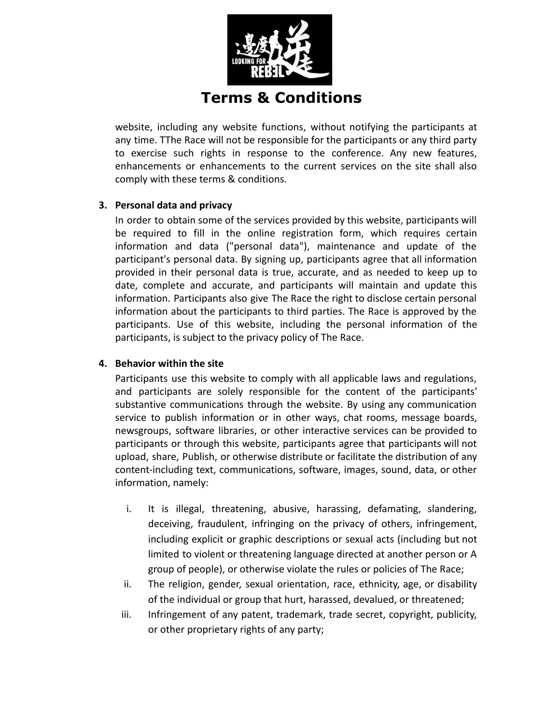

website, including any website functions, without notifying the participants at any time. TThe Race will not be responsible for the participants or any third party to exercise such rights in response to the conference. Any new features, enhancements or enhancements to the current services on the site shall also comply with these terms & conditions.

### **3. Personal data and privacy**

In order to obtain some of the services provided by this website, participants will be required to fill in the online registration form, which requires certain information and data ("personal data"), maintenance and update of the participant's personal data. By signing up, participants agree that all information provided in their personal data is true, accurate, and as needed to keep up to date, complete and accurate, and participants will maintain and update this information. Participants also give The Race the right to disclose certain personal information about the participants to third parties. The Race is approved by the participants. Use of this website, including the personal information of the participants, is subject to the privacy policy of The Race.

### **4. Behavior within the site**

Participants use this website to comply with all applicable laws and regulations, and participants are solely responsible for the content of the participants' substantive communications through the website. By using any communication service to publish information or in other ways, chat rooms, message boards, newsgroups, software libraries, or other interactive services can be provided to participants or through this website, participants agree that participants will not upload, share, Publish, or otherwise distribute or facilitate the distribution of any content-including text, communications, software, images, sound, data, or other information, namely:

- i. It is illegal, threatening, abusive, harassing, defamating, slandering, deceiving, fraudulent, infringing on the privacy of others, infringement, including explicit or graphic descriptions or sexual acts (including but not limited to violent or threatening language directed at another person or A group of people), or otherwise violate the rules or policies of The Race;
- ii. The religion, gender, sexual orientation, race, ethnicity, age, or disability of the individual or group that hurt, harassed, devalued, or threatened;
- iii. Infringement of any patent, trademark, trade secret, copyright, publicity, or other proprietary rights of any party;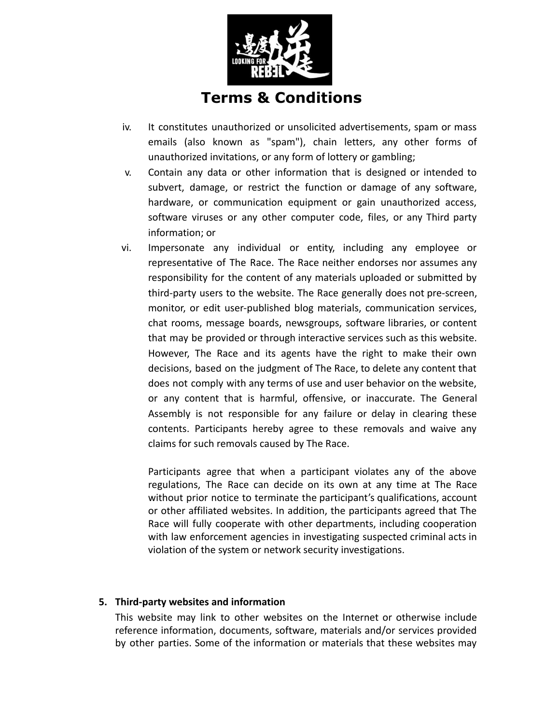

- iv. It constitutes unauthorized or unsolicited advertisements, spam or mass emails (also known as "spam"), chain letters, any other forms of unauthorized invitations, or any form of lottery or gambling;
- v. Contain any data or other information that is designed or intended to subvert, damage, or restrict the function or damage of any software, hardware, or communication equipment or gain unauthorized access, software viruses or any other computer code, files, or any Third party information; or
- vi. Impersonate any individual or entity, including any employee or representative of The Race. The Race neither endorses nor assumes any responsibility for the content of any materials uploaded or submitted by third-party users to the website. The Race generally does not pre-screen, monitor, or edit user-published blog materials, communication services, chat rooms, message boards, newsgroups, software libraries, or content that may be provided or through interactive services such as this website. However, The Race and its agents have the right to make their own decisions, based on the judgment of The Race, to delete any content that does not comply with any terms of use and user behavior on the website, or any content that is harmful, offensive, or inaccurate. The General Assembly is not responsible for any failure or delay in clearing these contents. Participants hereby agree to these removals and waive any claims for such removals caused by The Race.

Participants agree that when a participant violates any of the above regulations, The Race can decide on its own at any time at The Race without prior notice to terminate the participant's qualifications, account or other affiliated websites. In addition, the participants agreed that The Race will fully cooperate with other departments, including cooperation with law enforcement agencies in investigating suspected criminal acts in violation of the system or network security investigations.

## **5. Third-party websites and information**

This website may link to other websites on the Internet or otherwise include reference information, documents, software, materials and/or services provided by other parties. Some of the information or materials that these websites may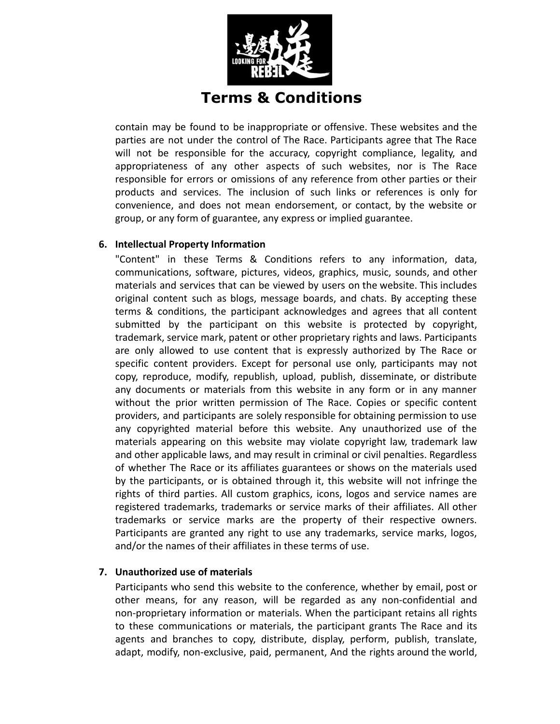

contain may be found to be inappropriate or offensive. These websites and the parties are not under the control of The Race. Participants agree that The Race will not be responsible for the accuracy, copyright compliance, legality, and appropriateness of any other aspects of such websites, nor is The Race responsible for errors or omissions of any reference from other parties or their products and services. The inclusion of such links or references is only for convenience, and does not mean endorsement, or contact, by the website or group, or any form of guarantee, any express or implied guarantee.

### **6. Intellectual Property Information**

"Content" in these Terms & Conditions refers to any information, data, communications, software, pictures, videos, graphics, music, sounds, and other materials and services that can be viewed by users on the website. This includes original content such as blogs, message boards, and chats. By accepting these terms & conditions, the participant acknowledges and agrees that all content submitted by the participant on this website is protected by copyright, trademark, service mark, patent or other proprietary rights and laws. Participants are only allowed to use content that is expressly authorized by The Race or specific content providers. Except for personal use only, participants may not copy, reproduce, modify, republish, upload, publish, disseminate, or distribute any documents or materials from this website in any form or in any manner without the prior written permission of The Race. Copies or specific content providers, and participants are solely responsible for obtaining permission to use any copyrighted material before this website. Any unauthorized use of the materials appearing on this website may violate copyright law, trademark law and other applicable laws, and may result in criminal or civil penalties. Regardless of whether The Race or its affiliates guarantees or shows on the materials used by the participants, or is obtained through it, this website will not infringe the rights of third parties. All custom graphics, icons, logos and service names are registered trademarks, trademarks or service marks of their affiliates. All other trademarks or service marks are the property of their respective owners. Participants are granted any right to use any trademarks, service marks, logos, and/or the names of their affiliates in these terms of use.

## **7. Unauthorized use of materials**

Participants who send this website to the conference, whether by email, post or other means, for any reason, will be regarded as any non-confidential and non-proprietary information or materials. When the participant retains all rights to these communications or materials, the participant grants The Race and its agents and branches to copy, distribute, display, perform, publish, translate, adapt, modify, non-exclusive, paid, permanent, And the rights around the world,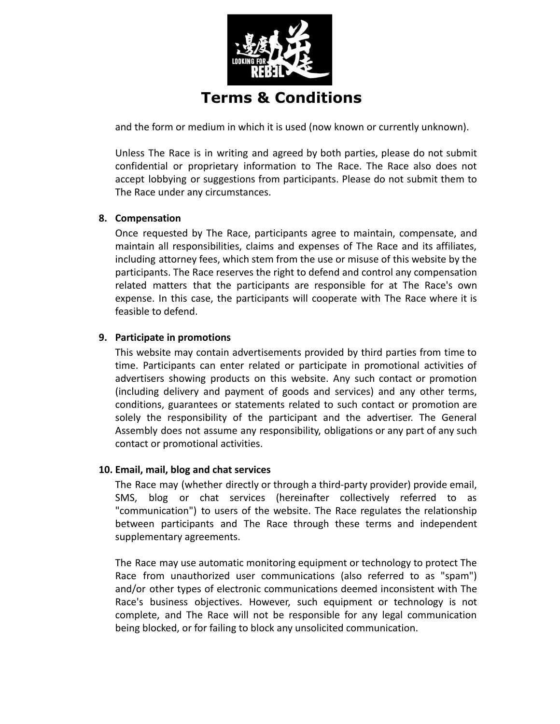

**Terms & Conditions**

and the form or medium in which it is used (now known or currently unknown).

Unless The Race is in writing and agreed by both parties, please do not submit confidential or proprietary information to The Race. The Race also does not accept lobbying or suggestions from participants. Please do not submit them to The Race under any circumstances.

## **8. Compensation**

Once requested by The Race, participants agree to maintain, compensate, and maintain all responsibilities, claims and expenses of The Race and its affiliates, including attorney fees, which stem from the use or misuse of this website by the participants. The Race reserves the right to defend and control any compensation related matters that the participants are responsible for at The Race's own expense. In this case, the participants will cooperate with The Race where it is feasible to defend.

## **9. Participate in promotions**

This website may contain advertisements provided by third parties from time to time. Participants can enter related or participate in promotional activities of advertisers showing products on this website. Any such contact or promotion (including delivery and payment of goods and services) and any other terms, conditions, guarantees or statements related to such contact or promotion are solely the responsibility of the participant and the advertiser. The General Assembly does not assume any responsibility, obligations or any part of any such contact or promotional activities.

### **10. Email, mail, blog and chat services**

The Race may (whether directly or through a third-party provider) provide email, SMS, blog or chat services (hereinafter collectively referred to as "communication") to users of the website. The Race regulates the relationship between participants and The Race through these terms and independent supplementary agreements.

The Race may use automatic monitoring equipment or technology to protect The Race from unauthorized user communications (also referred to as "spam") and/or other types of electronic communications deemed inconsistent with The Race's business objectives. However, such equipment or technology is not complete, and The Race will not be responsible for any legal communication being blocked, or for failing to block any unsolicited communication.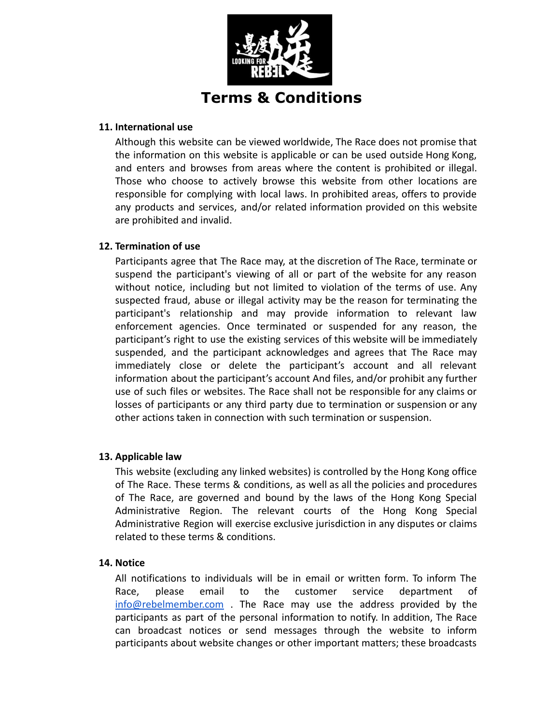

### **11. International use**

Although this website can be viewed worldwide, The Race does not promise that the information on this website is applicable or can be used outside Hong Kong, and enters and browses from areas where the content is prohibited or illegal. Those who choose to actively browse this website from other locations are responsible for complying with local laws. In prohibited areas, offers to provide any products and services, and/or related information provided on this website are prohibited and invalid.

### **12. Termination of use**

Participants agree that The Race may, at the discretion of The Race, terminate or suspend the participant's viewing of all or part of the website for any reason without notice, including but not limited to violation of the terms of use. Any suspected fraud, abuse or illegal activity may be the reason for terminating the participant's relationship and may provide information to relevant law enforcement agencies. Once terminated or suspended for any reason, the participant's right to use the existing services of this website will be immediately suspended, and the participant acknowledges and agrees that The Race may immediately close or delete the participant's account and all relevant information about the participant's account And files, and/or prohibit any further use of such files or websites. The Race shall not be responsible for any claims or losses of participants or any third party due to termination or suspension or any other actions taken in connection with such termination or suspension.

### **13. Applicable law**

This website (excluding any linked websites) is controlled by the Hong Kong office of The Race. These terms & conditions, as well as all the policies and procedures of The Race, are governed and bound by the laws of the Hong Kong Special Administrative Region. The relevant courts of the Hong Kong Special Administrative Region will exercise exclusive jurisdiction in any disputes or claims related to these terms & conditions.

### **14. Notice**

All notifications to individuals will be in email or written form. To inform The Race, please email to the customer service department of [info@rebelmember.com](mailto:info@rebelmember.com) . The Race may use the address provided by the participants as part of the personal information to notify. In addition, The Race can broadcast notices or send messages through the website to inform participants about website changes or other important matters; these broadcasts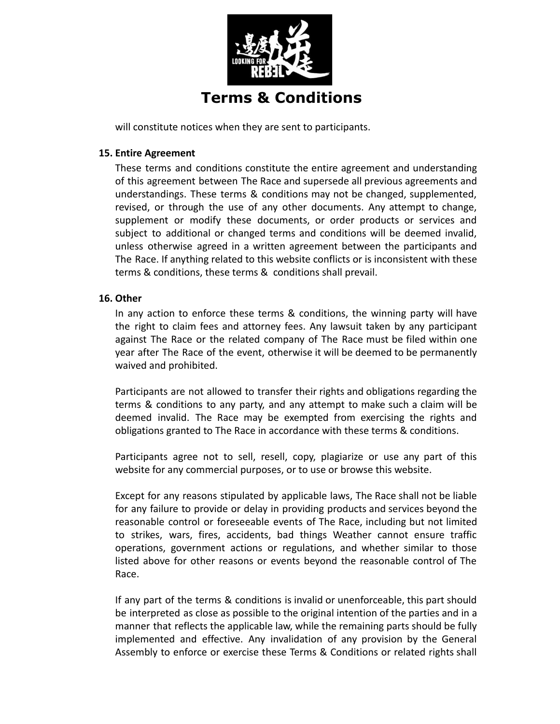

will constitute notices when they are sent to participants.

### **15. Entire Agreement**

These terms and conditions constitute the entire agreement and understanding of this agreement between The Race and supersede all previous agreements and understandings. These terms & conditions may not be changed, supplemented, revised, or through the use of any other documents. Any attempt to change, supplement or modify these documents, or order products or services and subject to additional or changed terms and conditions will be deemed invalid, unless otherwise agreed in a written agreement between the participants and The Race. If anything related to this website conflicts or is inconsistent with these terms & conditions, these terms & conditions shall prevail.

#### **16. Other**

In any action to enforce these terms & conditions, the winning party will have the right to claim fees and attorney fees. Any lawsuit taken by any participant against The Race or the related company of The Race must be filed within one year after The Race of the event, otherwise it will be deemed to be permanently waived and prohibited.

Participants are not allowed to transfer their rights and obligations regarding the terms & conditions to any party, and any attempt to make such a claim will be deemed invalid. The Race may be exempted from exercising the rights and obligations granted to The Race in accordance with these terms & conditions.

Participants agree not to sell, resell, copy, plagiarize or use any part of this website for any commercial purposes, or to use or browse this website.

Except for any reasons stipulated by applicable laws, The Race shall not be liable for any failure to provide or delay in providing products and services beyond the reasonable control or foreseeable events of The Race, including but not limited to strikes, wars, fires, accidents, bad things Weather cannot ensure traffic operations, government actions or regulations, and whether similar to those listed above for other reasons or events beyond the reasonable control of The Race.

If any part of the terms & conditions is invalid or unenforceable, this part should be interpreted as close as possible to the original intention of the parties and in a manner that reflects the applicable law, while the remaining parts should be fully implemented and effective. Any invalidation of any provision by the General Assembly to enforce or exercise these Terms & Conditions or related rights shall